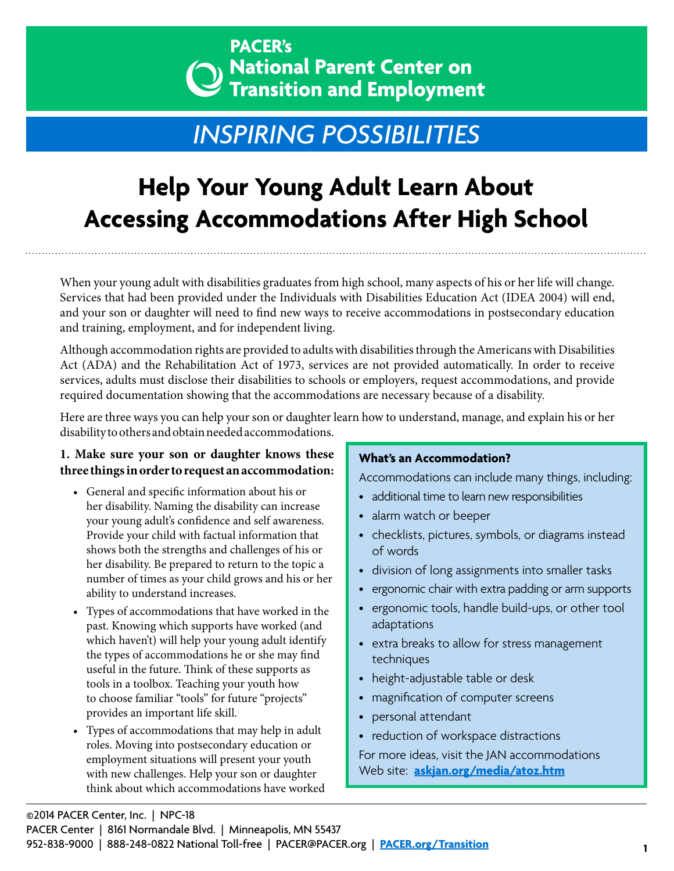# **PACER's**  $\lambda$  National Parent Center on **Transition and Employment**

# *INSPIRING POSSIBILITIES*

# **Help Your Young Adult Learn About Accessing Accommodations After High School**

When your young adult with disabilities graduates from high school, many aspects of his or her life will change. Services that had been provided under the Individuals with Disabilities Education Act (IDEA 2004) will end, and your son or daughter will need to find new ways to receive accommodations in postsecondary education and training, employment, and for independent living.

Although accommodation rights are provided to adults with disabilities through the Americans with Disabilities Act (ADA) and the Rehabilitation Act of 1973, services are not provided automatically. In order to receive services, adults must disclose their disabilities to schools or employers, request accommodations, and provide required documentation showing that the accommodations are necessary because of a disability.

Here are three ways you can help your son or daughter learn how to understand, manage, and explain his or her disability to others and obtain needed accommodations.

# **1. Make sure your son or daughter knows these three things in order to request an accommodation:**

- General and specific information about his or her disability. Naming the disability can increase your young adult's confidence and self awareness. Provide your child with factual information that shows both the strengths and challenges of his or her disability. Be prepared to return to the topic a number of times as your child grows and his or her ability to understand increases.
- Types of accommodations that have worked in the past. Knowing which supports have worked (and which haven't) will help your young adult identify the types of accommodations he or she may find useful in the future. Think of these supports as tools in a toolbox. Teaching your youth how to choose familiar "tools" for future "projects" provides an important life skill.
- Types of accommodations that may help in adult roles. Moving into postsecondary education or employment situations will present your youth with new challenges. Help your son or daughter think about which accommodations have worked

## **What's an Accommodation?**

Accommodations can include many things, including:

- additional time to learn new responsibilities
- alarm watch or beeper
- checklists, pictures, symbols, or diagrams instead of words
- division of long assignments into smaller tasks
- ergonomic chair with extra padding or arm supports
- ergonomic tools, handle build-ups, or other tool adaptations
- extra breaks to allow for stress management techniques
- height-adjustable table or desk
- magnification of computer screens
- personal attendant
- reduction of workspace distractions

For more ideas, visit the JAN accommodations Web site: **[askjan.org/media/atoz.htm](http://askjan.org/media/atoz.htm)**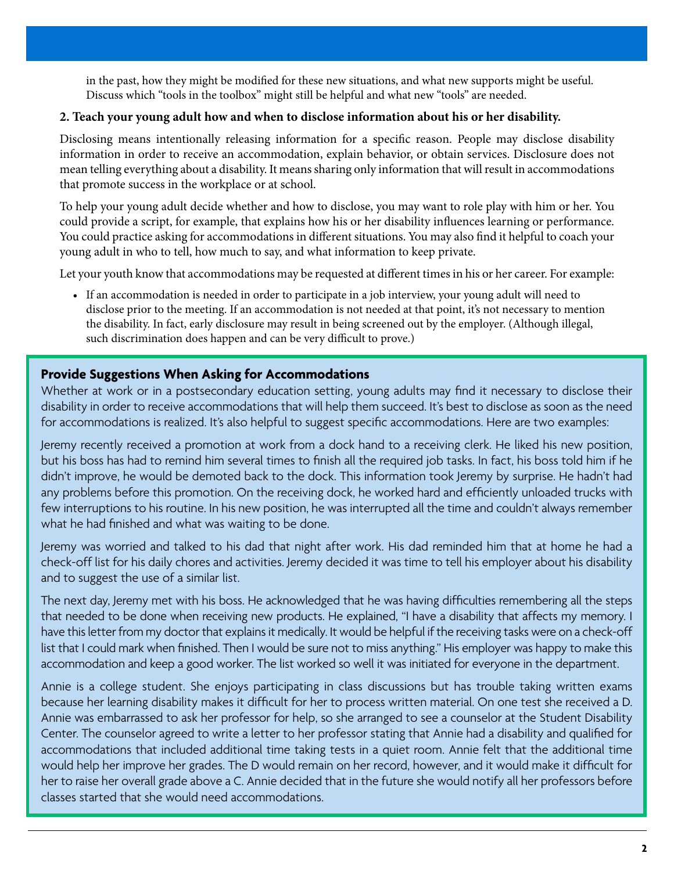in the past, how they might be modified for these new situations, and what new supports might be useful. Discuss which "tools in the toolbox" might still be helpful and what new "tools" are needed.

### **2. Teach your young adult how and when to disclose information about his or her disability.**

Disclosing means intentionally releasing information for a specific reason. People may disclose disability information in order to receive an accommodation, explain behavior, or obtain services. Disclosure does not mean telling everything about a disability. It means sharing only information that will result in accommodations that promote success in the workplace or at school.

To help your young adult decide whether and how to disclose, you may want to role play with him or her. You could provide a script, for example, that explains how his or her disability influences learning or performance. You could practice asking for accommodations in different situations. You may also find it helpful to coach your young adult in who to tell, how much to say, and what information to keep private.

Let your youth know that accommodations may be requested at different times in his or her career. For example:

• If an accommodation is needed in order to participate in a job interview, your young adult will need to disclose prior to the meeting. If an accommodation is not needed at that point, it's not necessary to mention the disability. In fact, early disclosure may result in being screened out by the employer. (Although illegal, such discrimination does happen and can be very difficult to prove.)

## **Provide Suggestions When Asking for Accommodations**

Whether at work or in a postsecondary education setting, young adults may find it necessary to disclose their disability in order to receive accommodations that will help them succeed. It's best to disclose as soon as the need for accommodations is realized. It's also helpful to suggest specific accommodations. Here are two examples:

Jeremy recently received a promotion at work from a dock hand to a receiving clerk. He liked his new position, but his boss has had to remind him several times to finish all the required job tasks. In fact, his boss told him if he didn't improve, he would be demoted back to the dock. This information took Jeremy by surprise. He hadn't had any problems before this promotion. On the receiving dock, he worked hard and efficiently unloaded trucks with few interruptions to his routine. In his new position, he was interrupted all the time and couldn't always remember what he had finished and what was waiting to be done.

Jeremy was worried and talked to his dad that night after work. His dad reminded him that at home he had a check-off list for his daily chores and activities. Jeremy decided it was time to tell his employer about his disability and to suggest the use of a similar list.

The next day, Jeremy met with his boss. He acknowledged that he was having difficulties remembering all the steps that needed to be done when receiving new products. He explained, "I have a disability that affects my memory. I have this letter from my doctor that explains it medically. It would be helpful if the receiving tasks were on a check-off list that I could mark when finished. Then I would be sure not to miss anything." His employer was happy to make this accommodation and keep a good worker. The list worked so well it was initiated for everyone in the department.

Annie is a college student. She enjoys participating in class discussions but has trouble taking written exams because her learning disability makes it difficult for her to process written material. On one test she received a D. Annie was embarrassed to ask her professor for help, so she arranged to see a counselor at the Student Disability Center. The counselor agreed to write a letter to her professor stating that Annie had a disability and qualified for accommodations that included additional time taking tests in a quiet room. Annie felt that the additional time would help her improve her grades. The D would remain on her record, however, and it would make it difficult for her to raise her overall grade above a C. Annie decided that in the future she would notify all her professors before classes started that she would need accommodations.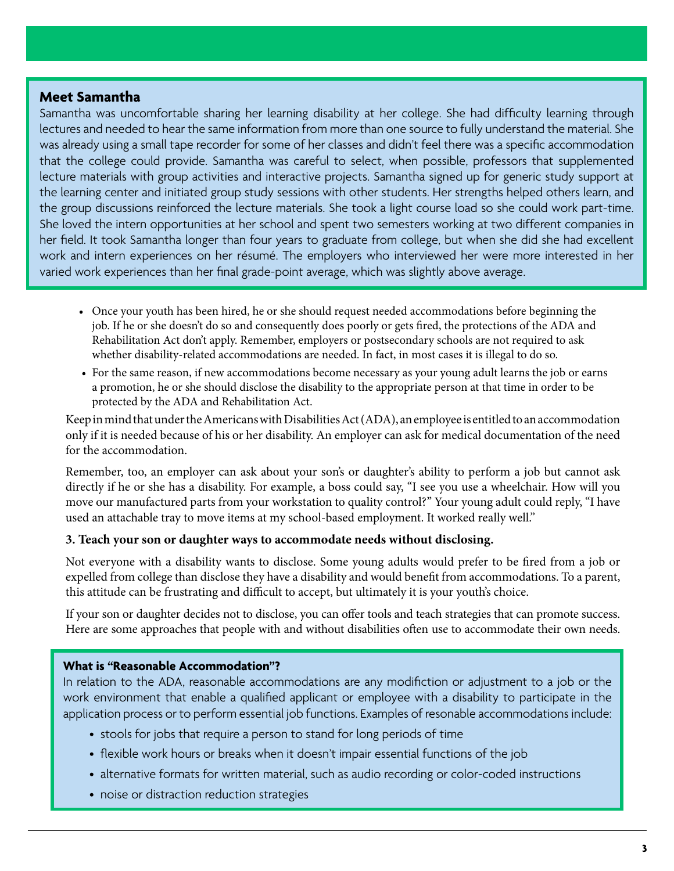### **Meet Samantha**

Samantha was uncomfortable sharing her learning disability at her college. She had difficulty learning through lectures and needed to hear the same information from more than one source to fully understand the material. She was already using a small tape recorder for some of her classes and didn't feel there was a specific accommodation that the college could provide. Samantha was careful to select, when possible, professors that supplemented lecture materials with group activities and interactive projects. Samantha signed up for generic study support at the learning center and initiated group study sessions with other students. Her strengths helped others learn, and the group discussions reinforced the lecture materials. She took a light course load so she could work part-time. She loved the intern opportunities at her school and spent two semesters working at two different companies in her field. It took Samantha longer than four years to graduate from college, but when she did she had excellent work and intern experiences on her résumé. The employers who interviewed her were more interested in her varied work experiences than her final grade-point average, which was slightly above average.

- Once your youth has been hired, he or she should request needed accommodations before beginning the job. If he or she doesn't do so and consequently does poorly or gets fired, the protections of the ADA and Rehabilitation Act don't apply. Remember, employers or postsecondary schools are not required to ask whether disability-related accommodations are needed. In fact, in most cases it is illegal to do so.
- For the same reason, if new accommodations become necessary as your young adult learns the job or earns a promotion, he or she should disclose the disability to the appropriate person at that time in order to be protected by the ADA and Rehabilitation Act.

Keep in mind that under the Americans with Disabilities Act (ADA), an employee is entitled to an accommodation only if it is needed because of his or her disability. An employer can ask for medical documentation of the need for the accommodation.

Remember, too, an employer can ask about your son's or daughter's ability to perform a job but cannot ask directly if he or she has a disability. For example, a boss could say, "I see you use a wheelchair. How will you move our manufactured parts from your workstation to quality control?" Your young adult could reply, "I have used an attachable tray to move items at my school-based employment. It worked really well."

#### **3. Teach your son or daughter ways to accommodate needs without disclosing.**

Not everyone with a disability wants to disclose. Some young adults would prefer to be fired from a job or expelled from college than disclose they have a disability and would benefit from accommodations. To a parent, this attitude can be frustrating and difficult to accept, but ultimately it is your youth's choice.

If your son or daughter decides not to disclose, you can offer tools and teach strategies that can promote success. Here are some approaches that people with and without disabilities often use to accommodate their own needs.

#### **What is "Reasonable Accommodation"?**

In relation to the ADA, reasonable accommodations are any modifiction or adjustment to a job or the work environment that enable a qualified applicant or employee with a disability to participate in the application process or to perform essential job functions. Examples of resonable accommodations include:

- stools for jobs that require a person to stand for long periods of time
- flexible work hours or breaks when it doesn't impair essential functions of the job
- alternative formats for written material, such as audio recording or color-coded instructions
- noise or distraction reduction strategies